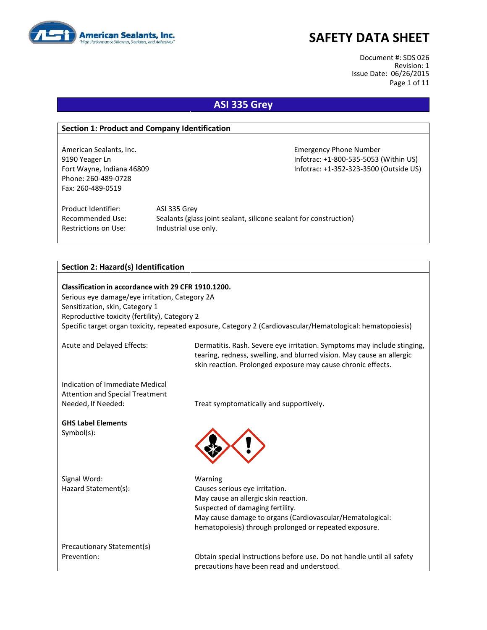

Document #: SDS 026 Revision: 1 Issue Date: 06/26/2015 Page 1 of 11

### **ASI 335 Grey**

#### **Section 1: Product and Company Identification**

American Sealants, Inc. **Emergency Phone Number** Emergency Phone Number 9190 Yeager Ln Infotrac: +1-800-535-5053 (Within US) Fort Wayne, Indiana 46809 **Information Controller Server Act 2018** Infotrac: +1-352-323-3500 (Outside US) Phone: 260-489-0728 Fax: 260-489-0519

Product Identifier: ASI 335 Grey Restrictions on Use: Industrial use only.

Recommended Use: Sealants (glass joint sealant, silicone sealant for construction)

#### **Section 2: Hazard(s) Identification**

**Classification in accordance with 29 CFR 1910.1200.** Serious eye damage/eye irritation, Category 2A Sensitization, skin, Category 1 Reproductive toxicity (fertility), Category 2 Specific target organ toxicity, repeated exposure, Category 2 (Cardiovascular/Hematological: hematopoiesis)

Acute and Delayed Effects: Dermatitis. Rash. Severe eye irritation. Symptoms may include stinging, tearing, redness, swelling, and blurred vision. May cause an allergic skin reaction. Prolonged exposure may cause chronic effects.

Indication of Immediate Medical Attention and Special Treatment

**GHS Label Elements** Symbol(s):

Signal Word: Warning

Needed, If Needed: Treat symptomatically and supportively.



Hazard Statement(s): Causes serious eye irritation. May cause an allergic skin reaction. Suspected of damaging fertility. May cause damage to organs (Cardiovascular/Hematological: hematopoiesis) through prolonged or repeated exposure.

Precautionary Statement(s)

Prevention: Obtain special instructions before use. Do not handle until all safety precautions have been read and understood.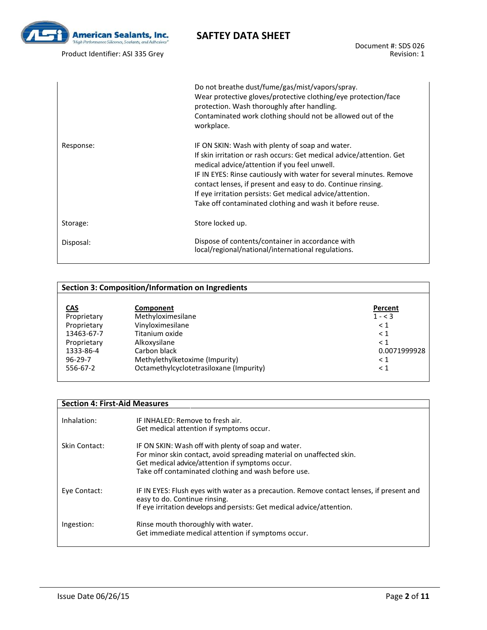

Product Identifier: ASI 335 Grey

Document #: SDS 026 Revision: 1

|           | Do not breathe dust/fume/gas/mist/vapors/spray.<br>Wear protective gloves/protective clothing/eye protection/face<br>protection. Wash thoroughly after handling.<br>Contaminated work clothing should not be allowed out of the<br>workplace.                                                                                                                                                                                           |
|-----------|-----------------------------------------------------------------------------------------------------------------------------------------------------------------------------------------------------------------------------------------------------------------------------------------------------------------------------------------------------------------------------------------------------------------------------------------|
| Response: | IF ON SKIN: Wash with plenty of soap and water.<br>If skin irritation or rash occurs: Get medical advice/attention. Get<br>medical advice/attention if you feel unwell.<br>IF IN EYES: Rinse cautiously with water for several minutes. Remove<br>contact lenses, if present and easy to do. Continue rinsing.<br>If eye irritation persists: Get medical advice/attention.<br>Take off contaminated clothing and wash it before reuse. |
| Storage:  | Store locked up.                                                                                                                                                                                                                                                                                                                                                                                                                        |
| Disposal: | Dispose of contents/container in accordance with<br>local/regional/national/international regulations.                                                                                                                                                                                                                                                                                                                                  |

#### **Section 3: Composition/Information on Ingredients CAS Component**<br> **CAS Component**<br> **Proprietary Methyloximesilane COMPONENTIAL COMPONENTIAL COMPONENTIAL COMPONENTIAL COMPONENTIAL** Proprietary Methyloximesilane 1 - < 3<br>Proprietary Vinyloximesilane 1 - < 3 Proprietary Vinyloximesilane<br>13463-67-7 Titanium oxide 13463-67-7 Titanium oxide < 1<br>Proprietary Alkoxysilane < 1 Proprietary Alkoxysilane<br>1333-86-4 Carbon black 1333-86-4 Carbon black 2010 Carbon black 20.0071999928<br>
96-29-7 Methylethylketoxime (Impurity) care and the control of the care of the control of the control of the c 96-29-7 Methylethylketoxime (Impurity)  $\langle 1 \rangle$ <br>556-67-2 Octamethylcyclotetrasiloxane (Impurity)  $\langle 1 \rangle$ Octamethylcyclotetrasiloxane (Impurity)

#### **Section 4: First-Aid Measures**

| Inhalation:   | IF INHALFD: Remove to fresh air.<br>Get medical attention if symptoms occur.                                                                                                                                                          |
|---------------|---------------------------------------------------------------------------------------------------------------------------------------------------------------------------------------------------------------------------------------|
| Skin Contact: | IF ON SKIN: Wash off with plenty of soap and water.<br>For minor skin contact, avoid spreading material on unaffected skin.<br>Get medical advice/attention if symptoms occur.<br>Take off contaminated clothing and wash before use. |
| Eye Contact:  | IF IN EYES: Flush eyes with water as a precaution. Remove contact lenses, if present and<br>easy to do. Continue rinsing.<br>If eye irritation develops and persists: Get medical advice/attention.                                   |
| Ingestion:    | Rinse mouth thoroughly with water.<br>Get immediate medical attention if symptoms occur.                                                                                                                                              |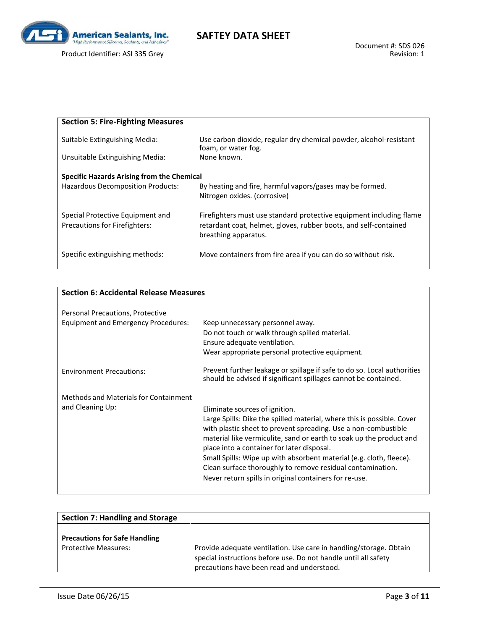

Product Identifier: ASI 335 Grey

| <b>Section 5: Fire-Fighting Measures</b>                          |                                                                                                                                                                 |
|-------------------------------------------------------------------|-----------------------------------------------------------------------------------------------------------------------------------------------------------------|
| Suitable Extinguishing Media:                                     | Use carbon dioxide, regular dry chemical powder, alcohol-resistant<br>foam, or water fog.                                                                       |
| Unsuitable Extinguishing Media:                                   | None known.                                                                                                                                                     |
| <b>Specific Hazards Arising from the Chemical</b>                 |                                                                                                                                                                 |
| <b>Hazardous Decomposition Products:</b>                          | By heating and fire, harmful vapors/gases may be formed.<br>Nitrogen oxides. (corrosive)                                                                        |
| Special Protective Equipment and<br>Precautions for Firefighters: | Firefighters must use standard protective equipment including flame<br>retardant coat, helmet, gloves, rubber boots, and self-contained<br>breathing apparatus. |
| Specific extinguishing methods:                                   | Move containers from fire area if you can do so without risk.                                                                                                   |

| <b>Section 6: Accidental Release Measures</b> |                                                                                                                                                                                                                                                               |
|-----------------------------------------------|---------------------------------------------------------------------------------------------------------------------------------------------------------------------------------------------------------------------------------------------------------------|
|                                               |                                                                                                                                                                                                                                                               |
| Personal Precautions, Protective              |                                                                                                                                                                                                                                                               |
| <b>Equipment and Emergency Procedures:</b>    | Keep unnecessary personnel away.                                                                                                                                                                                                                              |
|                                               | Do not touch or walk through spilled material.                                                                                                                                                                                                                |
|                                               | Ensure adequate ventilation.                                                                                                                                                                                                                                  |
|                                               | Wear appropriate personal protective equipment.                                                                                                                                                                                                               |
| <b>Environment Precautions:</b>               | Prevent further leakage or spillage if safe to do so. Local authorities<br>should be advised if significant spillages cannot be contained.                                                                                                                    |
| Methods and Materials for Containment         |                                                                                                                                                                                                                                                               |
| and Cleaning Up:                              | Eliminate sources of ignition.                                                                                                                                                                                                                                |
|                                               | Large Spills: Dike the spilled material, where this is possible. Cover<br>with plastic sheet to prevent spreading. Use a non-combustible<br>material like vermiculite, sand or earth to soak up the product and<br>place into a container for later disposal. |
|                                               | Small Spills: Wipe up with absorbent material (e.g. cloth, fleece).<br>Clean surface thoroughly to remove residual contamination.                                                                                                                             |
|                                               | Never return spills in original containers for re-use.                                                                                                                                                                                                        |

| <b>Section 7: Handling and Storage</b>                              |                                                                                                                                                                                     |
|---------------------------------------------------------------------|-------------------------------------------------------------------------------------------------------------------------------------------------------------------------------------|
| <b>Precautions for Safe Handling</b><br><b>Protective Measures:</b> | Provide adequate ventilation. Use care in handling/storage. Obtain<br>special instructions before use. Do not handle until all safety<br>precautions have been read and understood. |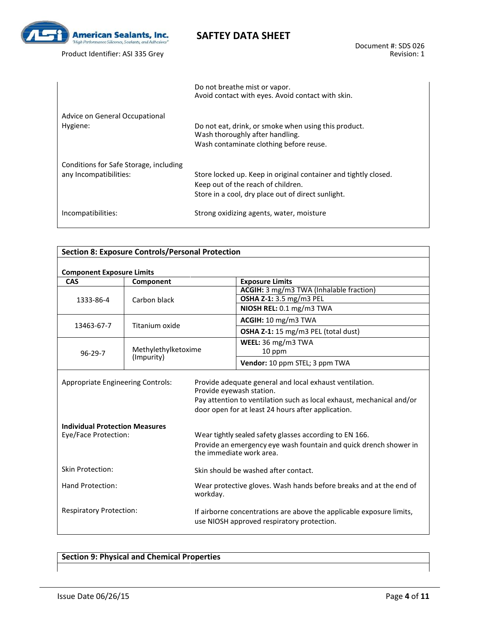

Product Identifier: ASI 335 Grey

|                                                                  | Do not breathe mist or vapor.<br>Avoid contact with eyes. Avoid contact with skin.                                                                          |
|------------------------------------------------------------------|-------------------------------------------------------------------------------------------------------------------------------------------------------------|
| Advice on General Occupational<br>Hygiene:                       | Do not eat, drink, or smoke when using this product.<br>Wash thoroughly after handling.<br>Wash contaminate clothing before reuse.                          |
| Conditions for Safe Storage, including<br>any Incompatibilities: | Store locked up. Keep in original container and tightly closed.<br>Keep out of the reach of children.<br>Store in a cool, dry place out of direct sunlight. |
| Incompatibilities:                                               | Strong oxidizing agents, water, moisture                                                                                                                    |

| <b>Section 8: Exposure Controls/Personal Protection</b>                           |                     |                                                                                                                    |                                                                                                                                                                                                                    |  |
|-----------------------------------------------------------------------------------|---------------------|--------------------------------------------------------------------------------------------------------------------|--------------------------------------------------------------------------------------------------------------------------------------------------------------------------------------------------------------------|--|
|                                                                                   |                     |                                                                                                                    |                                                                                                                                                                                                                    |  |
| <b>Component Exposure Limits</b><br>CAS                                           | Component           |                                                                                                                    | <b>Exposure Limits</b>                                                                                                                                                                                             |  |
|                                                                                   |                     |                                                                                                                    | ACGIH: 3 mg/m3 TWA (Inhalable fraction)                                                                                                                                                                            |  |
| 1333-86-4                                                                         | Carbon black        |                                                                                                                    | OSHA Z-1: 3.5 mg/m3 PEL                                                                                                                                                                                            |  |
|                                                                                   |                     |                                                                                                                    | NIOSH REL: 0.1 mg/m3 TWA                                                                                                                                                                                           |  |
| 13463-67-7                                                                        | Titanium oxide      |                                                                                                                    | ACGIH: 10 mg/m3 TWA                                                                                                                                                                                                |  |
|                                                                                   |                     |                                                                                                                    | OSHA Z-1: 15 mg/m3 PEL (total dust)                                                                                                                                                                                |  |
|                                                                                   |                     |                                                                                                                    | WEEL: 36 mg/m3 TWA                                                                                                                                                                                                 |  |
| $96 - 29 - 7$                                                                     | Methylethylketoxime |                                                                                                                    | 10 ppm                                                                                                                                                                                                             |  |
|                                                                                   | (Impurity)          |                                                                                                                    | Vendor: 10 ppm STEL; 3 ppm TWA                                                                                                                                                                                     |  |
| <b>Appropriate Engineering Controls:</b><br><b>Individual Protection Measures</b> |                     |                                                                                                                    | Provide adequate general and local exhaust ventilation.<br>Provide eyewash station.<br>Pay attention to ventilation such as local exhaust, mechanical and/or<br>door open for at least 24 hours after application. |  |
| Eye/Face Protection:                                                              |                     |                                                                                                                    | Wear tightly sealed safety glasses according to EN 166.<br>Provide an emergency eye wash fountain and quick drench shower in<br>the immediate work area.                                                           |  |
| <b>Skin Protection:</b>                                                           |                     |                                                                                                                    | Skin should be washed after contact.                                                                                                                                                                               |  |
| Hand Protection:                                                                  |                     | workday.                                                                                                           | Wear protective gloves. Wash hands before breaks and at the end of                                                                                                                                                 |  |
| <b>Respiratory Protection:</b>                                                    |                     | If airborne concentrations are above the applicable exposure limits,<br>use NIOSH approved respiratory protection. |                                                                                                                                                                                                                    |  |

#### **Section 9: Physical and Chemical Properties**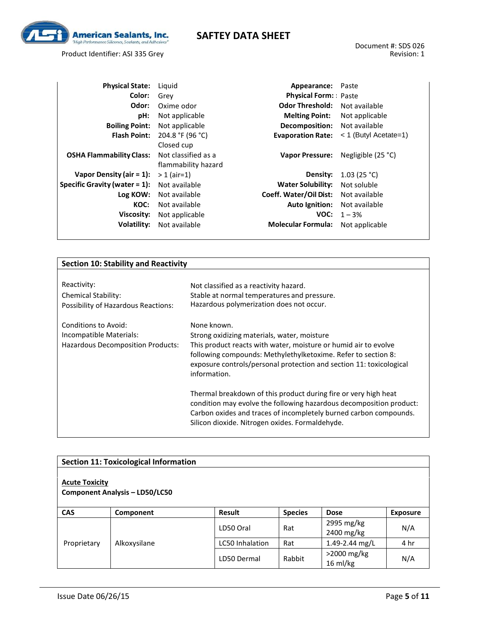

Product Identifier: ASI 335 Grey

| <b>Physical State:</b>           | Liguid              | Appearance:                 | Paste                   |
|----------------------------------|---------------------|-----------------------------|-------------------------|
| Color:                           | Grev                | <b>Physical Form:</b> Paste |                         |
| Odor:                            | Oxime odor          | <b>Odor Threshold:</b>      | Not available           |
| pH:                              | Not applicable      | <b>Melting Point:</b>       | Not applicable          |
| <b>Boiling Point:</b>            | Not applicable      | Decomposition:              | Not available           |
| <b>Flash Point:</b>              | 204.8 °F (96 °C)    | <b>Evaporation Rate:</b>    | $<$ 1 (Butyl Acetate=1) |
|                                  | Closed cup          |                             |                         |
| <b>OSHA Flammability Class:</b>  | Not classified as a | <b>Vapor Pressure:</b>      | Negligible $(25 °C)$    |
|                                  | flammability hazard |                             |                         |
| Vapor Density (air $= 1$ ):      | $> 1$ (air=1)       | Density:                    | 1.03 (25 °C)            |
| Specific Gravity (water $= 1$ ): | Not available       | <b>Water Solubility:</b>    | Not soluble             |
| Log KOW:                         | Not available       | Coeff. Water/Oil Dist:      | Not available           |
| KOC:                             | Not available       | <b>Auto Ignition:</b>       | Not available           |
| Viscosity:                       | Not applicable      | VOC:                        | $1 - 3%$                |
| Volatility:                      | Not available       | <b>Molecular Formula:</b>   | Not applicable          |
|                                  |                     |                             |                         |

#### **Section 10: Stability and Reactivity**

| Reactivity:                                                                          | Not classified as a reactivity hazard.                                                                                                                                                                                                                                                                                                                                                                                                                                                                                                                  |
|--------------------------------------------------------------------------------------|---------------------------------------------------------------------------------------------------------------------------------------------------------------------------------------------------------------------------------------------------------------------------------------------------------------------------------------------------------------------------------------------------------------------------------------------------------------------------------------------------------------------------------------------------------|
| <b>Chemical Stability:</b>                                                           | Stable at normal temperatures and pressure.                                                                                                                                                                                                                                                                                                                                                                                                                                                                                                             |
| Possibility of Hazardous Reactions:                                                  | Hazardous polymerization does not occur.                                                                                                                                                                                                                                                                                                                                                                                                                                                                                                                |
| Conditions to Avoid:<br>Incompatible Materials:<br>Hazardous Decomposition Products: | None known.<br>Strong oxidizing materials, water, moisture<br>This product reacts with water, moisture or humid air to evolve<br>following compounds: Methylethylketoxime. Refer to section 8:<br>exposure controls/personal protection and section 11: toxicological<br>information.<br>Thermal breakdown of this product during fire or very high heat<br>condition may evolve the following hazardous decomposition product:<br>Carbon oxides and traces of incompletely burned carbon compounds.<br>Silicon dioxide. Nitrogen oxides. Formaldehyde. |

|                       | <b>Section 11: Toxicological Information</b> |                 |                |                           |                 |
|-----------------------|----------------------------------------------|-----------------|----------------|---------------------------|-----------------|
| <b>Acute Toxicity</b> | <b>Component Analysis - LD50/LC50</b>        |                 |                |                           |                 |
| <b>CAS</b>            | Component                                    | <b>Result</b>   | <b>Species</b> | <b>Dose</b>               | <b>Exposure</b> |
|                       |                                              | LD50 Oral       | Rat            | 2995 mg/kg<br>2400 mg/kg  | N/A             |
| Proprietary           | Alkoxysilane                                 | LC50 Inhalation | Rat            | 1.49-2.44 mg/L            | 4 hr            |
|                       |                                              | LD50 Dermal     | Rabbit         | >2000 mg/kg<br>$16$ ml/kg | N/A             |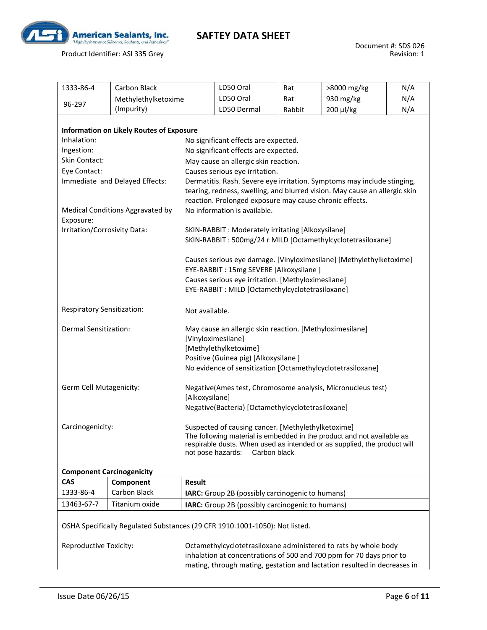

Product Identifier: ASI 335 Grey

| 1333-86-4                                                                                                                                                                                                                                        | <b>Carbon Black</b>                                                                                                   |                                                                                                                                                                                                                                                                                                                                                                                                                                                                                                                                                                                                                                                                                                                                                            | LD50 Oral                                        | Rat    | >8000 mg/kg | N/A |
|--------------------------------------------------------------------------------------------------------------------------------------------------------------------------------------------------------------------------------------------------|-----------------------------------------------------------------------------------------------------------------------|------------------------------------------------------------------------------------------------------------------------------------------------------------------------------------------------------------------------------------------------------------------------------------------------------------------------------------------------------------------------------------------------------------------------------------------------------------------------------------------------------------------------------------------------------------------------------------------------------------------------------------------------------------------------------------------------------------------------------------------------------------|--------------------------------------------------|--------|-------------|-----|
|                                                                                                                                                                                                                                                  | Methylethylketoxime                                                                                                   |                                                                                                                                                                                                                                                                                                                                                                                                                                                                                                                                                                                                                                                                                                                                                            | LD50 Oral                                        | Rat    | 930 mg/kg   | N/A |
| 96-297                                                                                                                                                                                                                                           | (Impurity)                                                                                                            |                                                                                                                                                                                                                                                                                                                                                                                                                                                                                                                                                                                                                                                                                                                                                            | LD50 Dermal                                      | Rabbit | 200 µl/kg   | N/A |
| Inhalation:<br>Ingestion:<br>Skin Contact:<br>Eye Contact:<br>Exposure:<br>Irritation/Corrosivity Data:                                                                                                                                          | <b>Information on Likely Routes of Exposure</b><br>Immediate and Delayed Effects:<br>Medical Conditions Aggravated by | No significant effects are expected.<br>No significant effects are expected.<br>May cause an allergic skin reaction.<br>Causes serious eye irritation.<br>Dermatitis. Rash. Severe eye irritation. Symptoms may include stinging,<br>tearing, redness, swelling, and blurred vision. May cause an allergic skin<br>reaction. Prolonged exposure may cause chronic effects.<br>No information is available.<br>SKIN-RABBIT : Moderately irritating [Alkoxysilane]<br>SKIN-RABBIT: 500mg/24 r MILD [Octamethylcyclotetrasiloxane]<br>Causes serious eye damage. [Vinyloximesilane] [Methylethylketoxime]<br>EYE-RABBIT: 15mg SEVERE [Alkoxysilane ]<br>Causes serious eye irritation. [Methyloximesilane]<br>EYE-RABBIT: MILD [Octamethylcyclotetrasiloxane] |                                                  |        |             |     |
| <b>Respiratory Sensitization:</b><br>Not available.                                                                                                                                                                                              |                                                                                                                       |                                                                                                                                                                                                                                                                                                                                                                                                                                                                                                                                                                                                                                                                                                                                                            |                                                  |        |             |     |
| Dermal Sensitization:                                                                                                                                                                                                                            |                                                                                                                       | May cause an allergic skin reaction. [Methyloximesilane]<br>[Vinyloximesilane]<br>[Methylethylketoxime]<br>Positive (Guinea pig) [Alkoxysilane]<br>No evidence of sensitization [Octamethylcyclotetrasiloxane]                                                                                                                                                                                                                                                                                                                                                                                                                                                                                                                                             |                                                  |        |             |     |
| Germ Cell Mutagenicity:                                                                                                                                                                                                                          |                                                                                                                       | Negative(Ames test, Chromosome analysis, Micronucleus test)<br>[Alkoxysilane]<br>Negative(Bacteria) [Octamethylcyclotetrasiloxane]                                                                                                                                                                                                                                                                                                                                                                                                                                                                                                                                                                                                                         |                                                  |        |             |     |
| Carcinogenicity:                                                                                                                                                                                                                                 |                                                                                                                       | Suspected of causing cancer. [Methylethylketoxime]<br>The following material is embedded in the product and not available as<br>respirable dusts. When used as intended or as supplied, the product will<br>not pose hazards:<br>Carbon black                                                                                                                                                                                                                                                                                                                                                                                                                                                                                                              |                                                  |        |             |     |
| <b>Component Carcinogenicity</b>                                                                                                                                                                                                                 |                                                                                                                       |                                                                                                                                                                                                                                                                                                                                                                                                                                                                                                                                                                                                                                                                                                                                                            |                                                  |        |             |     |
| <b>CAS</b>                                                                                                                                                                                                                                       | Component                                                                                                             | <b>Result</b>                                                                                                                                                                                                                                                                                                                                                                                                                                                                                                                                                                                                                                                                                                                                              |                                                  |        |             |     |
| 1333-86-4                                                                                                                                                                                                                                        | Carbon Black                                                                                                          |                                                                                                                                                                                                                                                                                                                                                                                                                                                                                                                                                                                                                                                                                                                                                            | IARC: Group 2B (possibly carcinogenic to humans) |        |             |     |
| 13463-67-7                                                                                                                                                                                                                                       | Titanium oxide                                                                                                        |                                                                                                                                                                                                                                                                                                                                                                                                                                                                                                                                                                                                                                                                                                                                                            | IARC: Group 2B (possibly carcinogenic to humans) |        |             |     |
| OSHA Specifically Regulated Substances (29 CFR 1910.1001-1050): Not listed.<br>Reproductive Toxicity:<br>Octamethylcyclotetrasiloxane administered to rats by whole body<br>inhalation at concentrations of 500 and 700 ppm for 70 days prior to |                                                                                                                       |                                                                                                                                                                                                                                                                                                                                                                                                                                                                                                                                                                                                                                                                                                                                                            |                                                  |        |             |     |

inhalation at concentrations of 500 and 700 ppm for 70 days prior to mating, through mating, gestation and lactation resulted in decreases in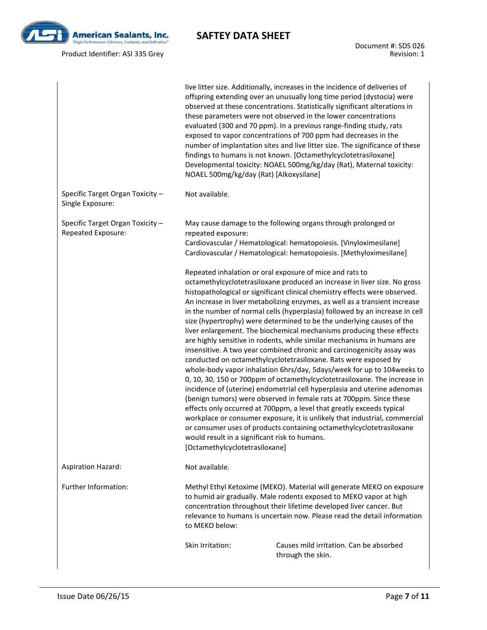

Product Identifier: ASI 335 Grey

|                                                        | NOAEL 500mg/kg/day (Rat) [Alkoxysilane]                                                                                                                                                                                                                                                                                                                                                                                                                                                                                                                                                                                                                                                                                                                                                                                                                                                                                                                                                                                                                                                                                                                                                                                                                                                                                                                                                                                                                       | live litter size. Additionally, increases in the incidence of deliveries of<br>offspring extending over an unusually long time period (dystocia) were<br>observed at these concentrations. Statistically significant alterations in<br>these parameters were not observed in the lower concentrations<br>evaluated (300 and 70 ppm). In a previous range-finding study, rats<br>exposed to vapor concentrations of 700 ppm had decreases in the<br>number of implantation sites and live litter size. The significance of these<br>findings to humans is not known. [Octamethylcyclotetrasiloxane]<br>Developmental toxicity: NOAEL 500mg/kg/day (Rat), Maternal toxicity: |
|--------------------------------------------------------|---------------------------------------------------------------------------------------------------------------------------------------------------------------------------------------------------------------------------------------------------------------------------------------------------------------------------------------------------------------------------------------------------------------------------------------------------------------------------------------------------------------------------------------------------------------------------------------------------------------------------------------------------------------------------------------------------------------------------------------------------------------------------------------------------------------------------------------------------------------------------------------------------------------------------------------------------------------------------------------------------------------------------------------------------------------------------------------------------------------------------------------------------------------------------------------------------------------------------------------------------------------------------------------------------------------------------------------------------------------------------------------------------------------------------------------------------------------|----------------------------------------------------------------------------------------------------------------------------------------------------------------------------------------------------------------------------------------------------------------------------------------------------------------------------------------------------------------------------------------------------------------------------------------------------------------------------------------------------------------------------------------------------------------------------------------------------------------------------------------------------------------------------|
| Specific Target Organ Toxicity -<br>Single Exposure:   | Not available.                                                                                                                                                                                                                                                                                                                                                                                                                                                                                                                                                                                                                                                                                                                                                                                                                                                                                                                                                                                                                                                                                                                                                                                                                                                                                                                                                                                                                                                |                                                                                                                                                                                                                                                                                                                                                                                                                                                                                                                                                                                                                                                                            |
| Specific Target Organ Toxicity -<br>Repeated Exposure: | repeated exposure:                                                                                                                                                                                                                                                                                                                                                                                                                                                                                                                                                                                                                                                                                                                                                                                                                                                                                                                                                                                                                                                                                                                                                                                                                                                                                                                                                                                                                                            | May cause damage to the following organs through prolonged or<br>Cardiovascular / Hematological: hematopoiesis. [Vinyloximesilane]                                                                                                                                                                                                                                                                                                                                                                                                                                                                                                                                         |
|                                                        | Cardiovascular / Hematological: hematopoiesis. [Methyloximesilane]<br>Repeated inhalation or oral exposure of mice and rats to<br>octamethylcyclotetrasiloxane produced an increase in liver size. No gross<br>histopathological or significant clinical chemistry effects were observed.<br>An increase in liver metabolizing enzymes, as well as a transient increase<br>in the number of normal cells (hyperplasia) followed by an increase in cell<br>size (hypertrophy) were determined to be the underlying causes of the<br>liver enlargement. The biochemical mechanisms producing these effects<br>are highly sensitive in rodents, while similar mechanisms in humans are<br>insensitive. A two year combined chronic and carcinogenicity assay was<br>conducted on octamethylcyclotetrasiloxane. Rats were exposed by<br>whole-body vapor inhalation 6hrs/day, 5days/week for up to 104 weeks to<br>0, 10, 30, 150 or 700ppm of octamethylcyclotetrasiloxane. The increase in<br>incidence of (uterine) endometrial cell hyperplasia and uterine adenomas<br>(benign tumors) were observed in female rats at 700ppm. Since these<br>effects only occurred at 700ppm, a level that greatly exceeds typical<br>workplace or consumer exposure, it is unlikely that industrial, commercial<br>or consumer uses of products containing octamethylcyclotetrasiloxane<br>would result in a significant risk to humans.<br>[Octamethylcyclotetrasiloxane] |                                                                                                                                                                                                                                                                                                                                                                                                                                                                                                                                                                                                                                                                            |
| <b>Aspiration Hazard:</b>                              | Not available.                                                                                                                                                                                                                                                                                                                                                                                                                                                                                                                                                                                                                                                                                                                                                                                                                                                                                                                                                                                                                                                                                                                                                                                                                                                                                                                                                                                                                                                |                                                                                                                                                                                                                                                                                                                                                                                                                                                                                                                                                                                                                                                                            |
| Further Information:                                   | to MEKO below:                                                                                                                                                                                                                                                                                                                                                                                                                                                                                                                                                                                                                                                                                                                                                                                                                                                                                                                                                                                                                                                                                                                                                                                                                                                                                                                                                                                                                                                | Methyl Ethyl Ketoxime (MEKO). Material will generate MEKO on exposure<br>to humid air gradually. Male rodents exposed to MEKO vapor at high<br>concentration throughout their lifetime developed liver cancer. But<br>relevance to humans is uncertain now. Please read the detail information                                                                                                                                                                                                                                                                                                                                                                             |
|                                                        | Skin Irritation:                                                                                                                                                                                                                                                                                                                                                                                                                                                                                                                                                                                                                                                                                                                                                                                                                                                                                                                                                                                                                                                                                                                                                                                                                                                                                                                                                                                                                                              | Causes mild irritation. Can be absorbed<br>through the skin.                                                                                                                                                                                                                                                                                                                                                                                                                                                                                                                                                                                                               |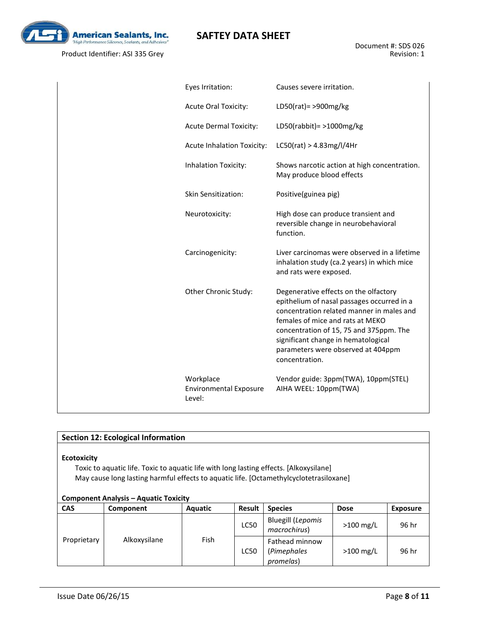

| Eyes Irritation:                                     | Causes severe irritation.                                                                                                                                                                                                                                                                                      |
|------------------------------------------------------|----------------------------------------------------------------------------------------------------------------------------------------------------------------------------------------------------------------------------------------------------------------------------------------------------------------|
| <b>Acute Oral Toxicity:</b>                          | LD50(rat) = $>900$ mg/kg                                                                                                                                                                                                                                                                                       |
| <b>Acute Dermal Toxicity:</b>                        | LD50(rabbit) = $>1000$ mg/kg                                                                                                                                                                                                                                                                                   |
| <b>Acute Inhalation Toxicity:</b>                    | LCSO(rat) > 4.83mg/l/4Hr                                                                                                                                                                                                                                                                                       |
| Inhalation Toxicity:                                 | Shows narcotic action at high concentration.<br>May produce blood effects                                                                                                                                                                                                                                      |
| Skin Sensitization:                                  | Positive(guinea pig)                                                                                                                                                                                                                                                                                           |
| Neurotoxicity:                                       | High dose can produce transient and<br>reversible change in neurobehavioral<br>function.                                                                                                                                                                                                                       |
| Carcinogenicity:                                     | Liver carcinomas were observed in a lifetime<br>inhalation study (ca.2 years) in which mice<br>and rats were exposed.                                                                                                                                                                                          |
| Other Chronic Study:                                 | Degenerative effects on the olfactory<br>epithelium of nasal passages occurred in a<br>concentration related manner in males and<br>females of mice and rats at MEKO<br>concentration of 15, 75 and 375ppm. The<br>significant change in hematological<br>parameters were observed at 404ppm<br>concentration. |
| Workplace<br><b>Environmental Exposure</b><br>Level: | Vendor guide: 3ppm(TWA), 10ppm(STEL)<br>AIHA WEEL: 10ppm(TWA)                                                                                                                                                                                                                                                  |

| <b>Section 12: Ecological Information</b>                                                                                                                                                                                                              |              |         |               |                                            |             |                 |  |  |  |
|--------------------------------------------------------------------------------------------------------------------------------------------------------------------------------------------------------------------------------------------------------|--------------|---------|---------------|--------------------------------------------|-------------|-----------------|--|--|--|
| <b>Ecotoxicity</b><br>Toxic to aquatic life. Toxic to aquatic life with long lasting effects. [Alkoxysilane]<br>May cause long lasting harmful effects to aquatic life. [Octamethylcyclotetrasiloxane]<br><b>Component Analysis – Aquatic Toxicity</b> |              |         |               |                                            |             |                 |  |  |  |
| <b>CAS</b>                                                                                                                                                                                                                                             | Component    | Aquatic | <b>Result</b> | <b>Species</b><br><b>Dose</b>              |             | <b>Exposure</b> |  |  |  |
| Proprietary                                                                                                                                                                                                                                            | Alkoxysilane | Fish    | <b>LC50</b>   | <b>Bluegill (Lepomis</b><br>macrochirus)   | $>100$ mg/L | 96 hr           |  |  |  |
|                                                                                                                                                                                                                                                        |              |         | <b>LC50</b>   | Fathead minnow<br>(Pimephales<br>promelas) | $>100$ mg/L | 96 hr           |  |  |  |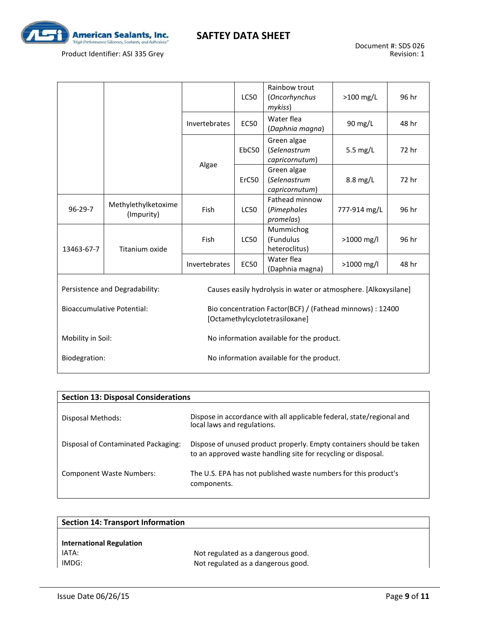

Product Identifier: ASI 335 Grey

|                                   |                                   |                                                                                             | <b>LC50</b>                               | Rainbow trout<br>(Oncorhynchus<br>mykiss)                       | $>100$ mg/L  | 96 hr |  |
|-----------------------------------|-----------------------------------|---------------------------------------------------------------------------------------------|-------------------------------------------|-----------------------------------------------------------------|--------------|-------|--|
|                                   |                                   | Invertebrates                                                                               | <b>EC50</b>                               | Water flea<br>(Daphnia magna)                                   | 90 mg/L      | 48 hr |  |
|                                   |                                   | Algae                                                                                       | EbC50                                     | Green algae<br>(Selenastrum<br>5.5 $mg/L$<br>capricornutum)     |              | 72 hr |  |
|                                   |                                   |                                                                                             | ErC50                                     | Green algae<br>(Selenastrum<br>capricornutum)                   | $8.8$ mg/L   | 72 hr |  |
| $96 - 29 - 7$                     | Methylethylketoxime<br>(Impurity) | Fish                                                                                        | <b>LC50</b>                               | Fathead minnow<br>(Pimephales<br>promelas)                      | 777-914 mg/L | 96 hr |  |
| 13463-67-7                        | Titanium oxide                    | Fish                                                                                        | <b>LC50</b>                               | Mummichog<br>(Fundulus<br>heteroclitus)                         | >1000 mg/l   | 96 hr |  |
|                                   |                                   | Invertebrates                                                                               | <b>EC50</b>                               | Water flea<br>(Daphnia magna)                                   | >1000 mg/l   | 48 hr |  |
| Persistence and Degradability:    |                                   |                                                                                             |                                           | Causes easily hydrolysis in water or atmosphere. [Alkoxysilane] |              |       |  |
| <b>Bioaccumulative Potential:</b> |                                   | Bio concentration Factor(BCF) / (Fathead minnows) : 12400<br>[Octamethylcyclotetrasiloxane] |                                           |                                                                 |              |       |  |
| Mobility in Soil:                 |                                   |                                                                                             | No information available for the product. |                                                                 |              |       |  |
| Biodegration:                     |                                   | No information available for the product.                                                   |                                           |                                                                 |              |       |  |

| <b>Section 13: Disposal Considerations</b> |                                                                                                                                       |  |  |  |  |  |
|--------------------------------------------|---------------------------------------------------------------------------------------------------------------------------------------|--|--|--|--|--|
| Disposal Methods:                          | Dispose in accordance with all applicable federal, state/regional and<br>local laws and regulations.                                  |  |  |  |  |  |
| Disposal of Contaminated Packaging:        | Dispose of unused product properly. Empty containers should be taken<br>to an approved waste handling site for recycling or disposal. |  |  |  |  |  |
| <b>Component Waste Numbers:</b>            | The U.S. EPA has not published waste numbers for this product's<br>components.                                                        |  |  |  |  |  |

| <b>Section 14: Transport Information</b> |                                    |  |  |  |  |
|------------------------------------------|------------------------------------|--|--|--|--|
|                                          |                                    |  |  |  |  |
| <b>International Regulation</b>          |                                    |  |  |  |  |
| IATA:                                    | Not regulated as a dangerous good. |  |  |  |  |
| IMDG:                                    | Not regulated as a dangerous good. |  |  |  |  |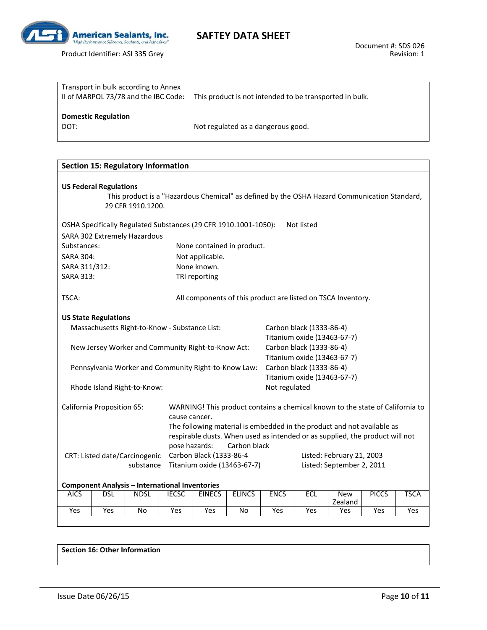

| Transport in bulk according to Annex<br>II of MARPOL 73/78 and the IBC Code: | This product is not intended to be transported in bulk. |
|------------------------------------------------------------------------------|---------------------------------------------------------|
| <b>Domestic Regulation</b><br>DOT:                                           | Not regulated as a dangerous good.                      |

| <b>Section 15: Regulatory Information</b>                                                 |                                                                                                                    |                                               |                                                        |                          |                                              |                             |            |                                                                                              |              |             |
|-------------------------------------------------------------------------------------------|--------------------------------------------------------------------------------------------------------------------|-----------------------------------------------|--------------------------------------------------------|--------------------------|----------------------------------------------|-----------------------------|------------|----------------------------------------------------------------------------------------------|--------------|-------------|
| <b>US Federal Regulations</b>                                                             |                                                                                                                    |                                               |                                                        |                          |                                              |                             |            |                                                                                              |              |             |
|                                                                                           |                                                                                                                    |                                               |                                                        |                          |                                              |                             |            | This product is a "Hazardous Chemical" as defined by the OSHA Hazard Communication Standard, |              |             |
|                                                                                           |                                                                                                                    |                                               |                                                        |                          |                                              |                             |            |                                                                                              |              |             |
| 29 CFR 1910.1200.                                                                         |                                                                                                                    |                                               |                                                        |                          |                                              |                             |            |                                                                                              |              |             |
|                                                                                           | Not listed<br>OSHA Specifically Regulated Substances (29 CFR 1910.1001-1050):                                      |                                               |                                                        |                          |                                              |                             |            |                                                                                              |              |             |
|                                                                                           |                                                                                                                    | SARA 302 Extremely Hazardous                  |                                                        |                          |                                              |                             |            |                                                                                              |              |             |
| Substances:                                                                               |                                                                                                                    |                                               |                                                        |                          | None contained in product.                   |                             |            |                                                                                              |              |             |
| <b>SARA 304:</b>                                                                          |                                                                                                                    |                                               |                                                        | Not applicable.          |                                              |                             |            |                                                                                              |              |             |
| SARA 311/312:                                                                             |                                                                                                                    |                                               |                                                        | None known.              |                                              |                             |            |                                                                                              |              |             |
| SARA 313:                                                                                 |                                                                                                                    |                                               |                                                        | TRI reporting            |                                              |                             |            |                                                                                              |              |             |
| TSCA:                                                                                     |                                                                                                                    |                                               |                                                        |                          |                                              |                             |            | All components of this product are listed on TSCA Inventory.                                 |              |             |
|                                                                                           | <b>US State Regulations</b>                                                                                        |                                               |                                                        |                          |                                              |                             |            |                                                                                              |              |             |
|                                                                                           |                                                                                                                    | Massachusetts Right-to-Know - Substance List: |                                                        |                          |                                              | Carbon black (1333-86-4)    |            |                                                                                              |              |             |
|                                                                                           |                                                                                                                    |                                               |                                                        |                          |                                              | Titanium oxide (13463-67-7) |            |                                                                                              |              |             |
| New Jersey Worker and Community Right-to-Know Act:                                        |                                                                                                                    |                                               |                                                        | Carbon black (1333-86-4) |                                              |                             |            |                                                                                              |              |             |
|                                                                                           |                                                                                                                    |                                               |                                                        |                          |                                              | Titanium oxide (13463-67-7) |            |                                                                                              |              |             |
| Pennsylvania Worker and Community Right-to-Know Law:                                      |                                                                                                                    |                                               |                                                        |                          | Carbon black (1333-86-4)                     |                             |            |                                                                                              |              |             |
|                                                                                           |                                                                                                                    |                                               |                                                        |                          | Titanium oxide (13463-67-7)<br>Not regulated |                             |            |                                                                                              |              |             |
| Rhode Island Right-to-Know:                                                               |                                                                                                                    |                                               |                                                        |                          |                                              |                             |            |                                                                                              |              |             |
|                                                                                           | <b>California Proposition 65:</b><br>WARNING! This product contains a chemical known to the state of California to |                                               |                                                        |                          |                                              |                             |            |                                                                                              |              |             |
|                                                                                           |                                                                                                                    |                                               | cause cancer.                                          |                          |                                              |                             |            |                                                                                              |              |             |
|                                                                                           | The following material is embedded in the product and not available as                                             |                                               |                                                        |                          |                                              |                             |            |                                                                                              |              |             |
|                                                                                           | respirable dusts. When used as intended or as supplied, the product will not                                       |                                               |                                                        |                          |                                              |                             |            |                                                                                              |              |             |
| pose hazards:<br>Carbon black<br>Carbon Black (1333-86-4<br>CRT: Listed date/Carcinogenic |                                                                                                                    |                                               |                                                        |                          |                                              |                             |            |                                                                                              |              |             |
| substance<br>Titanium oxide (13463-67-7)                                                  |                                                                                                                    |                                               | Listed: February 21, 2003<br>Listed: September 2, 2011 |                          |                                              |                             |            |                                                                                              |              |             |
|                                                                                           |                                                                                                                    |                                               |                                                        |                          |                                              |                             |            |                                                                                              |              |             |
| <b>Component Analysis - International Inventories</b>                                     |                                                                                                                    |                                               |                                                        |                          |                                              |                             |            |                                                                                              |              |             |
| <b>AICS</b>                                                                               | <b>DSL</b>                                                                                                         | <b>NDSL</b>                                   | <b>IECSC</b>                                           | <b>EINECS</b>            | <b>ELINCS</b>                                | <b>ENCS</b>                 | <b>ECL</b> | <b>New</b>                                                                                   | <b>PICCS</b> | <b>TSCA</b> |
| Yes                                                                                       | Yes                                                                                                                | No                                            | Yes                                                    | Yes                      | No                                           | Yes                         | Yes        | Zealand<br>Yes                                                                               | Yes          | Yes         |
|                                                                                           |                                                                                                                    |                                               |                                                        |                          |                                              |                             |            |                                                                                              |              |             |

**Section 16: Other Information**